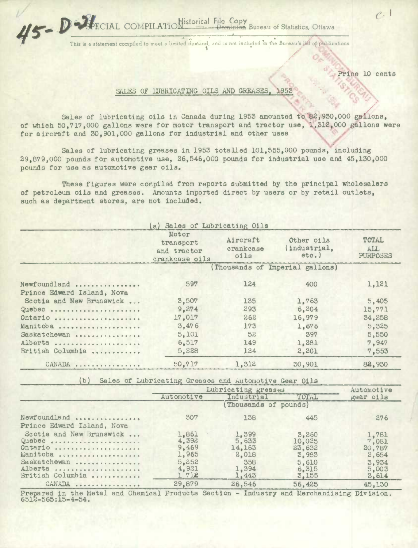$\mathcal{U}$  **P**  $\mathcal{U}$  **ECIAL** COMPILATION istorical File Copy Dominion Bureau of Statistics, Ottawa

This is a statement compiled to meet a limited demand, and is not included in the Bureau's list of publications

Price 10 cents

 $\rho$ .

## SALES OF IUBRICATING OILS AND GREASES, 1953

Sales of lubricating oils in Canada during 1953 amounted to 82,930,000 **gallons,**  of which 50,717,000 gallons were for motor transport and tractor use, 1,312,000 gallons were for aircraft and 30,901,000 gallons for industrial and other uses

Sales of lubricating greases in 1953 totalled 101,555,000 pounds, including 29,879,000 pounds for automotive use, 26,546,000 pounds for industrial use and 45,130,000 pounds for use as automotive gear oils.

These figures were compiled from reports submitted by the principal wholesalers of petroleum oils and greases. Amounts imported direct by users or by retail outlets, such as department stores, are not included.

|                            | a) Sales of Lubricating Oils                        |                               |                                        |                                               |  |  |
|----------------------------|-----------------------------------------------------|-------------------------------|----------------------------------------|-----------------------------------------------|--|--|
|                            | Motor<br>transport<br>and tractor<br>crankcase oils | Aircraft<br>crankcase<br>oils | Other oils<br>(industrial,<br>$etc.$ } | <b>TOTAL</b><br><b>ALL</b><br><b>PURPOSES</b> |  |  |
|                            | (Thousands of Imperial gallons)                     |                               |                                        |                                               |  |  |
| Newfoundland               | 597                                                 | 124                           | 400                                    | 1,121                                         |  |  |
| Prince Edward Island, Nova |                                                     |                               |                                        |                                               |  |  |
| Scotia and New Brunswick   | 3,507                                               | 135                           | 1,763                                  | 5,405                                         |  |  |
| Quebec                     | 9.274                                               | 293                           | 6,204                                  | 15,771                                        |  |  |
| Ontario                    | 17,017                                              | 262                           | 16,979                                 | 34,258                                        |  |  |
| Manitoba                   | 3,476                                               | 173                           | 1,676                                  | 5,325                                         |  |  |
| Saskatchewan               | 5,101                                               | 52                            | 397                                    | 5,550                                         |  |  |
| Alberta                    | 6,517                                               | 149                           | 1,281                                  | 7,947                                         |  |  |
| British Columbia           | 5,228                                               | 124                           | 2,201                                  | 7.553                                         |  |  |
| CANADA                     | 50,717                                              | 1,312                         | 30,901                                 | 82,930                                        |  |  |

(b) **Sales** of Lubricating Greases and Autoraotjve Gear Oils

|                                                                                                          | Lubricating greases                                         |                                                            |                                                               | Automotive                                                          |
|----------------------------------------------------------------------------------------------------------|-------------------------------------------------------------|------------------------------------------------------------|---------------------------------------------------------------|---------------------------------------------------------------------|
|                                                                                                          | Automotive                                                  | Industrial                                                 | TOTAL                                                         | gear oils                                                           |
|                                                                                                          |                                                             |                                                            |                                                               |                                                                     |
| Newfoundland<br>Prince Edward Island, Nova                                                               | 307                                                         | 138                                                        | 445                                                           | 276                                                                 |
| Scotia and New Brunswick<br>Quebec<br>Ontario<br>Manitoba<br>Saskatchewan<br>Alberta<br>British Columbia | 1,861<br>4,392<br>9,469<br>1,965<br>5,252<br>4,931<br>1.712 | 1,399<br>5,633<br>14,163<br>2,018<br>358<br>1,394<br>1,443 | 3,260<br>10.025<br>23,632<br>3,983<br>5,610<br>6,315<br>3.155 | $\frac{1,781}{7,081}$<br>20,787<br>2,654<br>3,934<br>5,003<br>3,614 |
| CANADA                                                                                                   | 29,879                                                      | 26,546                                                     | 56,425                                                        | 45,130                                                              |

Prepared in the Metal and Chemical Products Section - Industry and Merchandising Division. 6512-565:15-4-54.